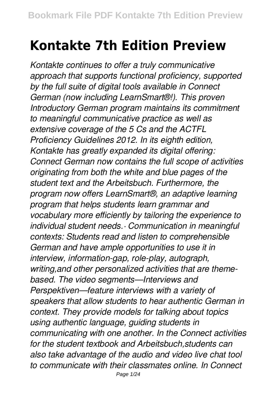## **Kontakte 7th Edition Preview**

*Kontakte continues to offer a truly communicative approach that supports functional proficiency, supported by the full suite of digital tools available in Connect German (now including LearnSmart®!). This proven Introductory German program maintains its commitment to meaningful communicative practice as well as extensive coverage of the 5 Cs and the ACTFL Proficiency Guidelines 2012. In its eighth edition, Kontakte has greatly expanded its digital offering: Connect German now contains the full scope of activities originating from both the white and blue pages of the student text and the Arbeitsbuch. Furthermore, the program now offers LearnSmart®, an adaptive learning program that helps students learn grammar and vocabulary more efficiently by tailoring the experience to individual student needs.· Communication in meaningful contexts: Students read and listen to comprehensible German and have ample opportunities to use it in interview, information-gap, role-play, autograph, writing,and other personalized activities that are themebased. The video segments—Interviews and Perspektiven—feature interviews with a variety of speakers that allow students to hear authentic German in context. They provide models for talking about topics using authentic language, guiding students in communicating with one another. In the Connect activities for the student textbook and Arbeitsbuch,students can also take advantage of the audio and video live chat tool to communicate with their classmates online. In Connect*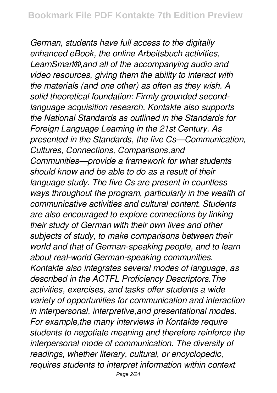*German, students have full access to the digitally enhanced eBook, the online Arbeitsbuch activities, LearnSmart®,and all of the accompanying audio and video resources, giving them the ability to interact with the materials (and one other) as often as they wish. A solid theoretical foundation: Firmly grounded secondlanguage acquisition research, Kontakte also supports the National Standards as outlined in the Standards for Foreign Language Learning in the 21st Century. As presented in the Standards, the five Cs—Communication, Cultures, Connections, Comparisons,and Communities—provide a framework for what students should know and be able to do as a result of their language study. The five Cs are present in countless ways throughout the program, particularly in the wealth of communicative activities and cultural content. Students are also encouraged to explore connections by linking their study of German with their own lives and other subjects of study, to make comparisons between their world and that of German-speaking people, and to learn about real-world German-speaking communities. Kontakte also integrates several modes of language, as described in the ACTFL Proficiency Descriptors.The activities, exercises, and tasks offer students a wide variety of opportunities for communication and interaction in interpersonal, interpretive,and presentational modes. For example,the many interviews in Kontakte require students to negotiate meaning and therefore reinforce the interpersonal mode of communication. The diversity of readings, whether literary, cultural, or encyclopedic, requires students to interpret information within context*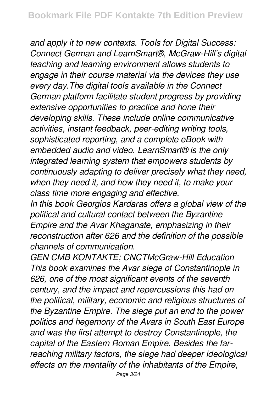*and apply it to new contexts. Tools for Digital Success: Connect German and LearnSmart®, McGraw-Hill's digital teaching and learning environment allows students to engage in their course material via the devices they use every day.The digital tools available in the Connect German platform facilitate student progress by providing extensive opportunities to practice and hone their developing skills. These include online communicative activities, instant feedback, peer-editing writing tools, sophisticated reporting, and a complete eBook with embedded audio and video. LearnSmart® is the only integrated learning system that empowers students by continuously adapting to deliver precisely what they need, when they need it, and how they need it, to make your class time more engaging and effective.*

*In this book Georgios Kardaras offers a global view of the political and cultural contact between the Byzantine Empire and the Avar Khaganate, emphasizing in their reconstruction after 626 and the definition of the possible channels of communication.*

*GEN CMB KONTAKTE; CNCTMcGraw-Hill Education This book examines the Avar siege of Constantinople in 626, one of the most significant events of the seventh century, and the impact and repercussions this had on the political, military, economic and religious structures of the Byzantine Empire. The siege put an end to the power politics and hegemony of the Avars in South East Europe and was the first attempt to destroy Constantinople, the capital of the Eastern Roman Empire. Besides the farreaching military factors, the siege had deeper ideological effects on the mentality of the inhabitants of the Empire,*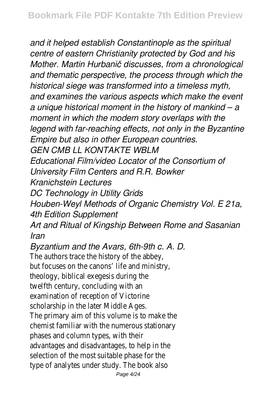*and it helped establish Constantinople as the spiritual centre of eastern Christianity protected by God and his Mother. Martin Hurbanič discusses, from a chronological and thematic perspective, the process through which the historical siege was transformed into a timeless myth, and examines the various aspects which make the event a unique historical moment in the history of mankind – a moment in which the modern story overlaps with the legend with far-reaching effects, not only in the Byzantine Empire but also in other European countries.*

*GEN CMB LL KONTAKTE WBLM*

*Educational Film/video Locator of the Consortium of University Film Centers and R.R. Bowker*

*Kranichstein Lectures*

*DC Technology in Utility Grids*

*Houben-Weyl Methods of Organic Chemistry Vol. E 21a, 4th Edition Supplement*

*Art and Ritual of Kingship Between Rome and Sasanian Iran*

*Byzantium and the Avars, 6th-9th c. A. D.*

The authors trace the history of the abbey, but focuses on the canons' life and ministry, theology, biblical exegesis during the twelfth century, concluding with an examination of reception of Victorine scholarship in the later Middle Ages. The primary aim of this volume is to make the chemist familiar with the numerous stationary phases and column types, with their advantages and disadvantages, to help in the selection of the most suitable phase for the type of analytes under study. The book also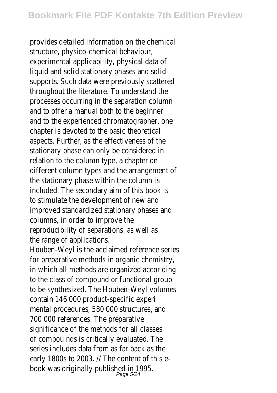provides detailed information on the chemical structure, physico-chemical behaviour, experimental applicability, physical data of liquid and solid stationary phases and solid supports. Such data were previously scattered throughout the literature. To understand the processes occurring in the separation column and to offer a manual both to the beginner and to the experienced chromatographer, one chapter is devoted to the basic theoretical aspects. Further, as the effectiveness of the stationary phase can only be considered in relation to the column type, a chapter on different column types and the arrangement of the stationary phase within the column is included. The secondary aim of this book is to stimulate the development of new and improved standardized stationary phases and columns, in order to improve the reproducibility of separations, as well as the range of applications.

Houben-Weyl is the acclaimed reference series for preparative methods in organic chemistry, in which all methods are organized accor ding to the class of compound or functional group to be synthesized. The Houben-Weyl volumes contain 146 000 product-specific experi mental procedures, 580 000 structures, and 700 000 references. The preparative significance of the methods for all classes of compou nds is critically evaluated. The series includes data from as far back as the early 1800s to 2003. // The content of this ebook was originally published in 1995.<br>Page 5/24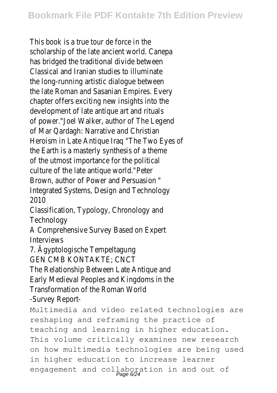This book is a true tour de force in the scholarship of the late ancient world. Canepa has bridged the traditional divide between Classical and Iranian studies to illuminate the long-running artistic dialogue between the late Roman and Sasanian Empires. Every chapter offers exciting new insights into the development of late antique art and rituals of power."Joel Walker, author of The Legend of Mar Qardagh: Narrative and Christian Heroism in Late Antique Iraq "The Two Eyes of the Earth is a masterly synthesis of a theme of the utmost importance for the political culture of the late antique world."Peter Brown, author of Power and Persuasion " Integrated Systems, Design and Technology 2010

Classification, Typology, Chronology and **Technology** 

A Comprehensive Survey Based on Expert Interviews

7. Ägyptologische Tempeltagung

GEN CMB KONTAKTE; CNCT

The Relationship Between Late Antique and Early Medieval Peoples and Kingdoms in the Transformation of the Roman World -Survey Report-

Multimedia and video related technologies are reshaping and reframing the practice of teaching and learning in higher education. This volume critically examines new research on how multimedia technologies are being used in higher education to increase learner engagement and collaboration in and out of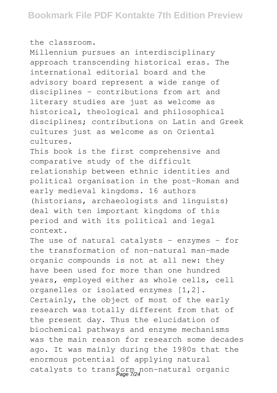the classroom.

Millennium pursues an interdisciplinary approach transcending historical eras. The international editorial board and the advisory board represent a wide range of disciplines - contributions from art and literary studies are just as welcome as historical, theological and philosophical disciplines; contributions on Latin and Greek cultures just as welcome as on Oriental cultures.

This book is the first comprehensive and comparative study of the difficult relationship between ethnic identities and political organisation in the post-Roman and early medieval kingdoms. 16 authors (historians, archaeologists and linguists) deal with ten important kingdoms of this period and with its political and legal context.

The use of natural catalysts - enzymes - for the transformation of non-natural man-made organic compounds is not at all new: they have been used for more than one hundred years, employed either as whole cells, cell organelles or isolated enzymes [1,2]. Certainly, the object of most of the early research was totally different from that of the present day. Thus the elucidation of biochemical pathways and enzyme mechanisms was the main reason for research some decades ago. It was mainly during the 1980s that the enormous potential of applying natural catalysts to transform non-natural organic<br>Page 7/24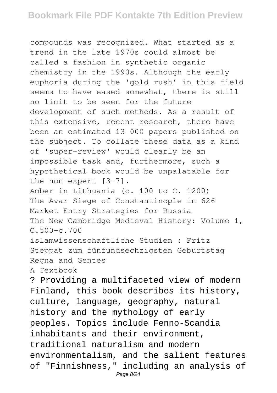## **Bookmark File PDF Kontakte 7th Edition Preview**

compounds was recognized. What started as a trend in the late 1970s could almost be called a fashion in synthetic organic chemistry in the 1990s. Although the early euphoria during the 'gold rush' in this field seems to have eased somewhat, there is still no limit to be seen for the future development of such methods. As a result of this extensive, recent research, there have been an estimated 13 000 papers published on the subject. To collate these data as a kind of 'super-review' would clearly be an impossible task and, furthermore, such a hypothetical book would be unpalatable for the non-expert [3-7]. Amber in Lithuania (c. 100 to C. 1200) The Avar Siege of Constantinople in 626 Market Entry Strategies for Russia The New Cambridge Medieval History: Volume 1,  $C.500-c.700$ islamwissenschaftliche Studien : Fritz Steppat zum fünfundsechzigsten Geburtstag Regna and Gentes A Textbook ? Providing a multifaceted view of modern Finland, this book describes its history, culture, language, geography, natural history and the mythology of early peoples. Topics include Fenno-Scandia inhabitants and their environment, traditional naturalism and modern environmentalism, and the salient features of "Finnishness," including an analysis of Page 8/24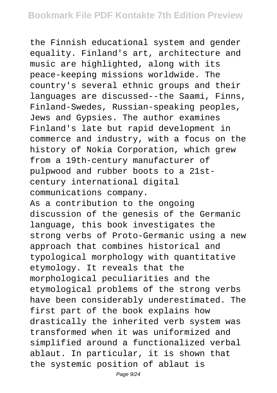the Finnish educational system and gender equality. Finland's art, architecture and music are highlighted, along with its peace-keeping missions worldwide. The country's several ethnic groups and their languages are discussed--the Saami, Finns, Finland-Swedes, Russian-speaking peoples, Jews and Gypsies. The author examines Finland's late but rapid development in commerce and industry, with a focus on the history of Nokia Corporation, which grew from a 19th-century manufacturer of pulpwood and rubber boots to a 21stcentury international digital communications company. As a contribution to the ongoing discussion of the genesis of the Germanic language, this book investigates the strong verbs of Proto-Germanic using a new approach that combines historical and typological morphology with quantitative etymology. It reveals that the morphological peculiarities and the etymological problems of the strong verbs have been considerably underestimated. The first part of the book explains how drastically the inherited verb system was transformed when it was uniformized and simplified around a functionalized verbal ablaut. In particular, it is shown that the systemic position of ablaut is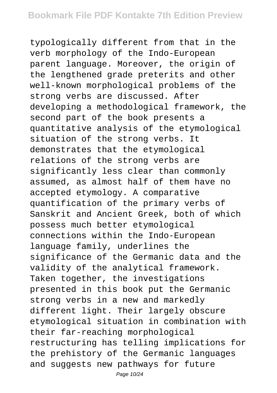typologically different from that in the verb morphology of the Indo-European parent language. Moreover, the origin of the lengthened grade preterits and other well-known morphological problems of the strong verbs are discussed. After developing a methodological framework, the second part of the book presents a quantitative analysis of the etymological situation of the strong verbs. It demonstrates that the etymological relations of the strong verbs are significantly less clear than commonly assumed, as almost half of them have no accepted etymology. A comparative quantification of the primary verbs of Sanskrit and Ancient Greek, both of which possess much better etymological connections within the Indo-European language family, underlines the significance of the Germanic data and the validity of the analytical framework. Taken together, the investigations presented in this book put the Germanic strong verbs in a new and markedly different light. Their largely obscure etymological situation in combination with their far-reaching morphological restructuring has telling implications for the prehistory of the Germanic languages and suggests new pathways for future

Page 10/24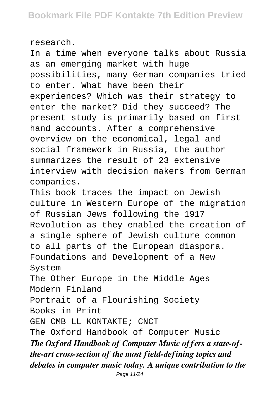research.

In a time when everyone talks about Russia as an emerging market with huge possibilities, many German companies tried to enter. What have been their experiences? Which was their strategy to enter the market? Did they succeed? The present study is primarily based on first hand accounts. After a comprehensive overview on the economical, legal and social framework in Russia, the author summarizes the result of 23 extensive interview with decision makers from German companies. This book traces the impact on Jewish

culture in Western Europe of the migration of Russian Jews following the 1917 Revolution as they enabled the creation of a single sphere of Jewish culture common to all parts of the European diaspora. Foundations and Development of a New System The Other Europe in the Middle Ages Modern Finland Portrait of a Flourishing Society Books in Print GEN CMB LL KONTAKTE; CNCT The Oxford Handbook of Computer Music *The Oxford Handbook of Computer Music offers a state-ofthe-art cross-section of the most field-defining topics and debates in computer music today. A unique contribution to the*

Page 11/24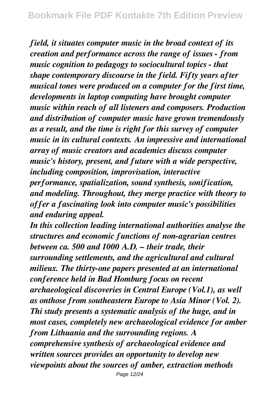*field, it situates computer music in the broad context of its creation and performance across the range of issues - from music cognition to pedagogy to sociocultural topics - that shape contemporary discourse in the field. Fifty years after musical tones were produced on a computer for the first time, developments in laptop computing have brought computer music within reach of all listeners and composers. Production and distribution of computer music have grown tremendously as a result, and the time is right for this survey of computer music in its cultural contexts. An impressive and international array of music creators and academics discuss computer music's history, present, and future with a wide perspective, including composition, improvisation, interactive performance, spatialization, sound synthesis, sonification, and modeling. Throughout, they merge practice with theory to offer a fascinating look into computer music's possibilities and enduring appeal.*

*In this collection leading international authorities analyse the structures and economic functions of non-agrarian centres between ca. 500 and 1000 A.D. – their trade, their surrounding settlements, and the agricultural and cultural milieux. The thirty-one papers presented at an international conference held in Bad Homburg focus on recent archaeological discoveries in Central Europe (Vol.1), as well as onthose from southeastern Europe to Asia Minor (Vol. 2). Thi study presents a systematic analysis of the huge, and in most cases, completely new archaeological evidence for amber from Lithuania and the surrounding regions. A comprehensive synthesis of archaeological evidence and written sources provides an opportunity to develop new viewpoints about the sources of amber, extraction methods*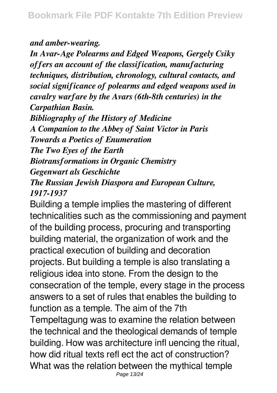## *and amber-wearing.*

*In Avar-Age Polearms and Edged Weapons, Gergely Csiky offers an account of the classification, manufacturing techniques, distribution, chronology, cultural contacts, and social significance of polearms and edged weapons used in cavalry warfare by the Avars (6th-8th centuries) in the Carpathian Basin. Bibliography of the History of Medicine A Companion to the Abbey of Saint Victor in Paris Towards a Poetics of Enumeration The Two Eyes of the Earth*

*Biotransformations in Organic Chemistry*

*Gegenwart als Geschichte*

*The Russian Jewish Diaspora and European Culture, 1917-1937*

Building a temple implies the mastering of different technicalities such as the commissioning and payment of the building process, procuring and transporting building material, the organization of work and the practical execution of building and decoration projects. But building a temple is also translating a religious idea into stone. From the design to the consecration of the temple, every stage in the process answers to a set of rules that enables the building to function as a temple. The aim of the 7th Tempeltagung was to examine the relation between the technical and the theological demands of temple building. How was architecture infl uencing the ritual, how did ritual texts refl ect the act of construction? What was the relation between the mythical temple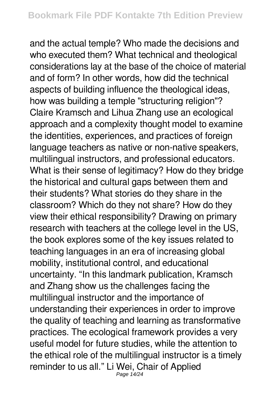and the actual temple? Who made the decisions and who executed them? What technical and theological considerations lay at the base of the choice of material and of form? In other words, how did the technical aspects of building influence the theological ideas, how was building a temple "structuring religion"? Claire Kramsch and Lihua Zhang use an ecological approach and a complexity thought model to examine the identities, experiences, and practices of foreign language teachers as native or non-native speakers, multilingual instructors, and professional educators. What is their sense of legitimacy? How do they bridge the historical and cultural gaps between them and their students? What stories do they share in the classroom? Which do they not share? How do they view their ethical responsibility? Drawing on primary research with teachers at the college level in the US, the book explores some of the key issues related to teaching languages in an era of increasing global mobility, institutional control, and educational uncertainty. "In this landmark publication, Kramsch and Zhang show us the challenges facing the multilingual instructor and the importance of understanding their experiences in order to improve the quality of teaching and learning as transformative practices. The ecological framework provides a very useful model for future studies, while the attention to the ethical role of the multilingual instructor is a timely reminder to us all." Li Wei, Chair of Applied Page 14/24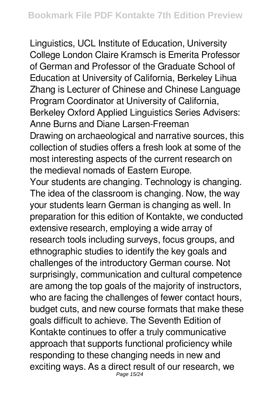Linguistics, UCL Institute of Education, University College London Claire Kramsch is Emerita Professor of German and Professor of the Graduate School of Education at University of California, Berkeley Lihua Zhang is Lecturer of Chinese and Chinese Language Program Coordinator at University of California, Berkeley Oxford Applied Linguistics Series Advisers: Anne Burns and Diane Larsen-Freeman Drawing on archaeological and narrative sources, this collection of studies offers a fresh look at some of the most interesting aspects of the current research on the medieval nomads of Eastern Europe. Your students are changing. Technology is changing. The idea of the classroom is changing. Now, the way your students learn German is changing as well. In preparation for this edition of Kontakte, we conducted extensive research, employing a wide array of research tools including surveys, focus groups, and ethnographic studies to identify the key goals and challenges of the introductory German course. Not surprisingly, communication and cultural competence are among the top goals of the majority of instructors, who are facing the challenges of fewer contact hours, budget cuts, and new course formats that make these goals difficult to achieve. The Seventh Edition of

Kontakte continues to offer a truly communicative approach that supports functional proficiency while responding to these changing needs in new and exciting ways. As a direct result of our research, we Page 15/24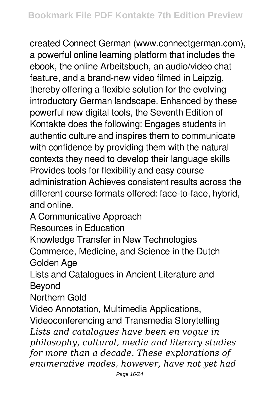created Connect German (www.connectgerman.com), a powerful online learning platform that includes the ebook, the online Arbeitsbuch, an audio/video chat feature, and a brand-new video filmed in Leipzig, thereby offering a flexible solution for the evolving introductory German landscape. Enhanced by these powerful new digital tools, the Seventh Edition of Kontakte does the following: Engages students in authentic culture and inspires them to communicate with confidence by providing them with the natural contexts they need to develop their language skills Provides tools for flexibility and easy course administration Achieves consistent results across the different course formats offered: face-to-face, hybrid, and online.

A Communicative Approach

Resources in Education

Knowledge Transfer in New Technologies

Commerce, Medicine, and Science in the Dutch Golden Age

Lists and Catalogues in Ancient Literature and Beyond

Northern Gold

Video Annotation, Multimedia Applications, Videoconferencing and Transmedia Storytelling *Lists and catalogues have been en vogue in philosophy, cultural, media and literary studies for more than a decade. These explorations of enumerative modes, however, have not yet had*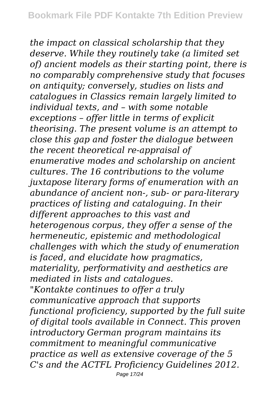*the impact on classical scholarship that they deserve. While they routinely take (a limited set of) ancient models as their starting point, there is no comparably comprehensive study that focuses on antiquity; conversely, studies on lists and catalogues in Classics remain largely limited to individual texts, and – with some notable exceptions – offer little in terms of explicit theorising. The present volume is an attempt to close this gap and foster the dialogue between the recent theoretical re-appraisal of enumerative modes and scholarship on ancient cultures. The 16 contributions to the volume juxtapose literary forms of enumeration with an abundance of ancient non-, sub- or para-literary practices of listing and cataloguing. In their different approaches to this vast and heterogenous corpus, they offer a sense of the hermeneutic, epistemic and methodological challenges with which the study of enumeration is faced, and elucidate how pragmatics, materiality, performativity and aesthetics are mediated in lists and catalogues. "Kontakte continues to offer a truly communicative approach that supports functional proficiency, supported by the full suite of digital tools available in Connect. This proven introductory German program maintains its commitment to meaningful communicative practice as well as extensive coverage of the 5 C's and the ACTFL Proficiency Guidelines 2012.*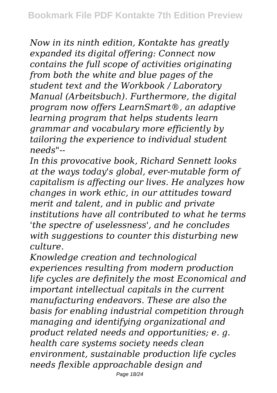*Now in its ninth edition, Kontakte has greatly expanded its digital offering: Connect now contains the full scope of activities originating from both the white and blue pages of the student text and the Workbook / Laboratory Manual (Arbeitsbuch). Furthermore, the digital program now offers LearnSmart®, an adaptive learning program that helps students learn grammar and vocabulary more efficiently by tailoring the experience to individual student needs"--*

*In this provocative book, Richard Sennett looks at the ways today's global, ever-mutable form of capitalism is affecting our lives. He analyzes how changes in work ethic, in our attitudes toward merit and talent, and in public and private institutions have all contributed to what he terms 'the spectre of uselessness', and he concludes with suggestions to counter this disturbing new culture.*

*Knowledge creation and technological experiences resulting from modern production life cycles are definitely the most Economical and important intellectual capitals in the current manufacturing endeavors. These are also the basis for enabling industrial competition through managing and identifying organizational and product related needs and opportunities; e. g. health care systems society needs clean environment, sustainable production life cycles needs flexible approachable design and*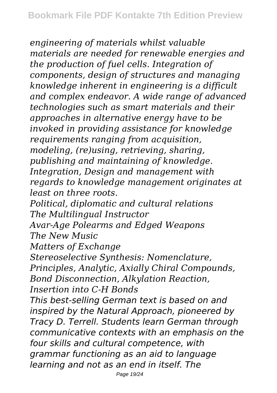*engineering of materials whilst valuable materials are needed for renewable energies and the production of fuel cells. Integration of components, design of structures and managing knowledge inherent in engineering is a difficult and complex endeavor. A wide range of advanced technologies such as smart materials and their approaches in alternative energy have to be invoked in providing assistance for knowledge requirements ranging from acquisition, modeling, (re)using, retrieving, sharing, publishing and maintaining of knowledge. Integration, Design and management with regards to knowledge management originates at least on three roots. Political, diplomatic and cultural relations The Multilingual Instructor Avar-Age Polearms and Edged Weapons The New Music Matters of Exchange Stereoselective Synthesis: Nomenclature, Principles, Analytic, Axially Chiral Compounds, Bond Disconnection, Alkylation Reaction, Insertion into C-H Bonds This best-selling German text is based on and inspired by the Natural Approach, pioneered by Tracy D. Terrell. Students learn German through communicative contexts with an emphasis on the four skills and cultural competence, with grammar functioning as an aid to language learning and not as an end in itself. The*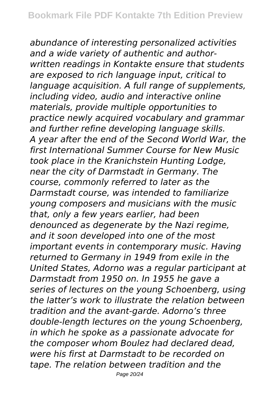*abundance of interesting personalized activities and a wide variety of authentic and authorwritten readings in Kontakte ensure that students are exposed to rich language input, critical to language acquisition. A full range of supplements, including video, audio and interactive online materials, provide multiple opportunities to practice newly acquired vocabulary and grammar and further refine developing language skills. A year after the end of the Second World War, the first International Summer Course for New Music took place in the Kranichstein Hunting Lodge, near the city of Darmstadt in Germany. The course, commonly referred to later as the Darmstadt course, was intended to familiarize young composers and musicians with the music that, only a few years earlier, had been denounced as degenerate by the Nazi regime, and it soon developed into one of the most important events in contemporary music. Having returned to Germany in 1949 from exile in the United States, Adorno was a regular participant at Darmstadt from 1950 on. In 1955 he gave a series of lectures on the young Schoenberg, using the latter's work to illustrate the relation between tradition and the avant-garde. Adorno's three double-length lectures on the young Schoenberg, in which he spoke as a passionate advocate for the composer whom Boulez had declared dead, were his first at Darmstadt to be recorded on tape. The relation between tradition and the*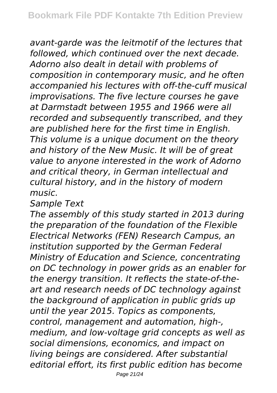*avant-garde was the leitmotif of the lectures that followed, which continued over the next decade. Adorno also dealt in detail with problems of composition in contemporary music, and he often accompanied his lectures with off-the-cuff musical improvisations. The five lecture courses he gave at Darmstadt between 1955 and 1966 were all recorded and subsequently transcribed, and they are published here for the first time in English. This volume is a unique document on the theory and history of the New Music. It will be of great value to anyone interested in the work of Adorno and critical theory, in German intellectual and cultural history, and in the history of modern music.*

*Sample Text*

*The assembly of this study started in 2013 during the preparation of the foundation of the Flexible Electrical Networks (FEN) Research Campus, an institution supported by the German Federal Ministry of Education and Science, concentrating on DC technology in power grids as an enabler for the energy transition. It reflects the state-of-theart and research needs of DC technology against the background of application in public grids up until the year 2015. Topics as components, control, management and automation, high-, medium, and low-voltage grid concepts as well as social dimensions, economics, and impact on living beings are considered. After substantial editorial effort, its first public edition has become*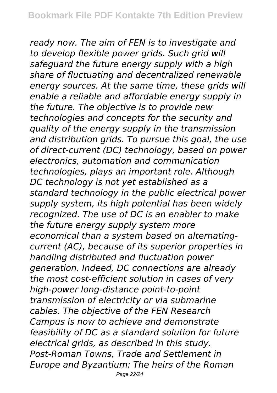*ready now. The aim of FEN is to investigate and to develop flexible power grids. Such grid will safeguard the future energy supply with a high share of fluctuating and decentralized renewable energy sources. At the same time, these grids will enable a reliable and affordable energy supply in the future. The objective is to provide new technologies and concepts for the security and quality of the energy supply in the transmission and distribution grids. To pursue this goal, the use of direct-current (DC) technology, based on power electronics, automation and communication technologies, plays an important role. Although DC technology is not yet established as a standard technology in the public electrical power supply system, its high potential has been widely recognized. The use of DC is an enabler to make the future energy supply system more economical than a system based on alternatingcurrent (AC), because of its superior properties in handling distributed and fluctuation power generation. Indeed, DC connections are already the most cost-efficient solution in cases of very high-power long-distance point-to-point transmission of electricity or via submarine cables. The objective of the FEN Research Campus is now to achieve and demonstrate feasibility of DC as a standard solution for future electrical grids, as described in this study. Post-Roman Towns, Trade and Settlement in Europe and Byzantium: The heirs of the Roman*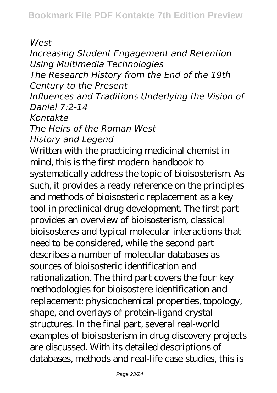*West*

*Increasing Student Engagement and Retention Using Multimedia Technologies The Research History from the End of the 19th Century to the Present Influences and Traditions Underlying the Vision of Daniel 7:2-14 Kontakte The Heirs of the Roman West History and Legend* Written with the practicing medicinal chemist in mind, this is the first modern handbook to systematically address the topic of bioisosterism. As such, it provides a ready reference on the principles and methods of bioisosteric replacement as a key tool in preclinical drug development. The first part provides an overview of bioisosterism, classical bioisosteres and typical molecular interactions that need to be considered, while the second part describes a number of molecular databases as sources of bioisosteric identification and rationalization. The third part covers the four key methodologies for bioisostere identification and replacement: physicochemical properties, topology, shape, and overlays of protein-ligand crystal structures. In the final part, several real-world examples of bioisosterism in drug discovery projects are discussed. With its detailed descriptions of databases, methods and real-life case studies, this is